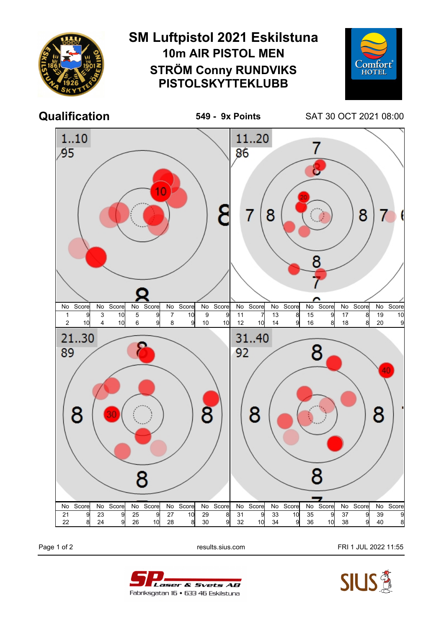

Page 1 of 2 **Page 1 of 2** results.sius.com **FRI 1 JUL 2022 11:55**